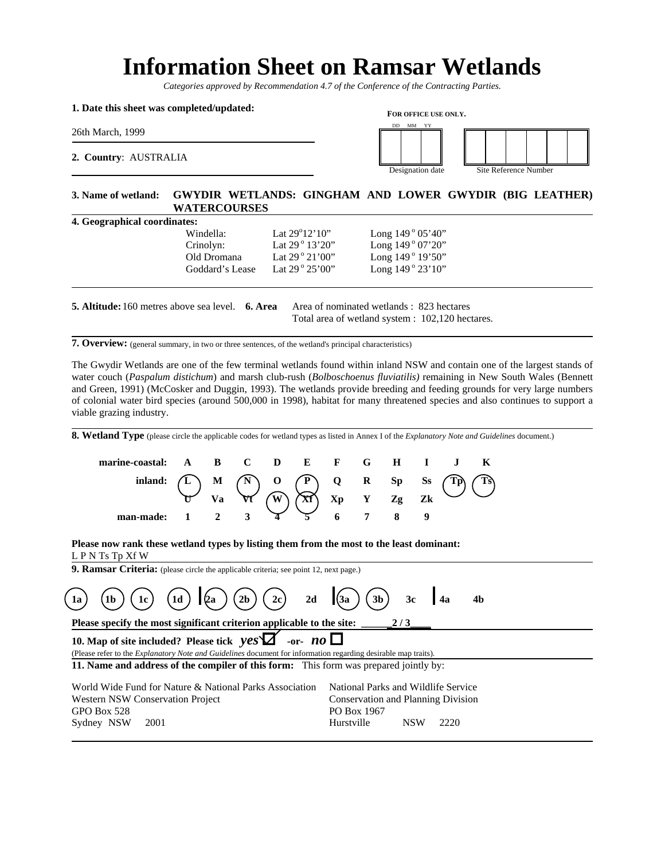# **Information Sheet on Ramsar Wetlands**

*Categories approved by Recommendation 4.7 of the Conference of the Contracting Parties.*

#### **1. Date this sheet was completed/updated:**

26th March, 1999

**2. Country**: AUSTRALIA



Designation date Site Reference Number

## **3. Name of wetland: GWYDIR WETLANDS: GINGHAM AND LOWER GWYDIR (BIG LEATHER) WATERCOURSES**

| <b>4. Geographical coordinates:</b> |                           |                             |
|-------------------------------------|---------------------------|-----------------------------|
| Windella:                           | Lat $29^{\circ}12'10''$   | Long $149^{\circ} 05' 40''$ |
| Crinolyn:                           | Lat $29^{\circ}$ 13'20"   | Long $149°07'20"$           |
| Old Dromana                         | Lat $29^{\circ} 21'00''$  | Long $149^{\circ} 19' 50''$ |
| Goddard's Lease                     | Lat $29^{\circ} 25' 00''$ | Long $149^{\circ} 23' 10''$ |

| <b>5. Altitude:</b> 160 metres above sea level. <b>6. Area</b> | Area of nominated wetlands : 823 hectares        |
|----------------------------------------------------------------|--------------------------------------------------|
|                                                                | Total area of wetland system : 102,120 hectares. |

**7. Overview:** (general summary, in two or three sentences, of the wetland's principal characteristics)

The Gwydir Wetlands are one of the few terminal wetlands found within inland NSW and contain one of the largest stands of water couch (*Paspalum distichum*) and marsh club-rush (*Bolboschoenus fluviatilis)* remaining in New South Wales (Bennett and Green, 1991) (McCosker and Duggin, 1993). The wetlands provide breeding and feeding grounds for very large numbers of colonial water bird species (around 500,000 in 1998), habitat for many threatened species and also continues to support a viable grazing industry.

8. Wetland Type (please circle the applicable codes for wetland types as listed in Annex I of the *Explanatory Note and Guidelines* document.)

| marine-coastal: A B C D E F G H I J K                                                                                                                                                                                                                                  |  |  |  |  |  |  |
|------------------------------------------------------------------------------------------------------------------------------------------------------------------------------------------------------------------------------------------------------------------------|--|--|--|--|--|--|
|                                                                                                                                                                                                                                                                        |  |  |  |  |  |  |
| inland: $\begin{pmatrix} 1 \ 1 \end{pmatrix}$ M $\begin{pmatrix} N \ 1 \end{pmatrix}$ O $\begin{pmatrix} P \ 1 \end{pmatrix}$ O $\begin{pmatrix} R & Sp & Se \\ Xr & Y & Zg & Zk \end{pmatrix}$ $\begin{pmatrix} Tp \ Ts \end{pmatrix}$<br>man-made: 1 2 3 4 5 6 7 8 9 |  |  |  |  |  |  |
|                                                                                                                                                                                                                                                                        |  |  |  |  |  |  |

**Please now rank these wetland types by listing them from the most to the least dominant:**  L P N Ts Tp Xf W

**9. Ramsar Criteria:** (please circle the applicable criteria; see point 12, next page.)

| (1a)                                                                                                                                                                                             | (1c)                                                                                  | (1d)       | (2a)        | (2b) | (2c) | 2d | (3a) | (3b) | 3c | 4a | 4b |
|--------------------------------------------------------------------------------------------------------------------------------------------------------------------------------------------------|---------------------------------------------------------------------------------------|------------|-------------|------|------|----|------|------|----|----|----|
| Please specify the most significant criterion applicable to the site:                                                                                                                            | 2/3                                                                                   |            |             |      |      |    |      |      |    |    |    |
| 10. Map of site included? Please tick $yes \times 2$ or - $no \times 2$                                                                                                                          | 3                                                                                     |            |             |      |      |    |      |      |    |    |    |
| (Please refer to the <i>Explanatory Note and Guidelines document for information regarding desirable map traits)</i> .                                                                           | 11. Name and address of the compiler of this form: This form was prepared jointly by: |            |             |      |      |    |      |      |    |    |    |
| World Wide Fund for Nature & National Parks Association National Parks and Wildlife Service Conservation and Planning Division<br>GPO Box 528<br>PO Box 528<br>PO Box 1967<br>Sydney NSW<br>2001 | 2001                                                                                  | Hurstville | NSW<br>2220 |      |      |    |      |      |    |    |    |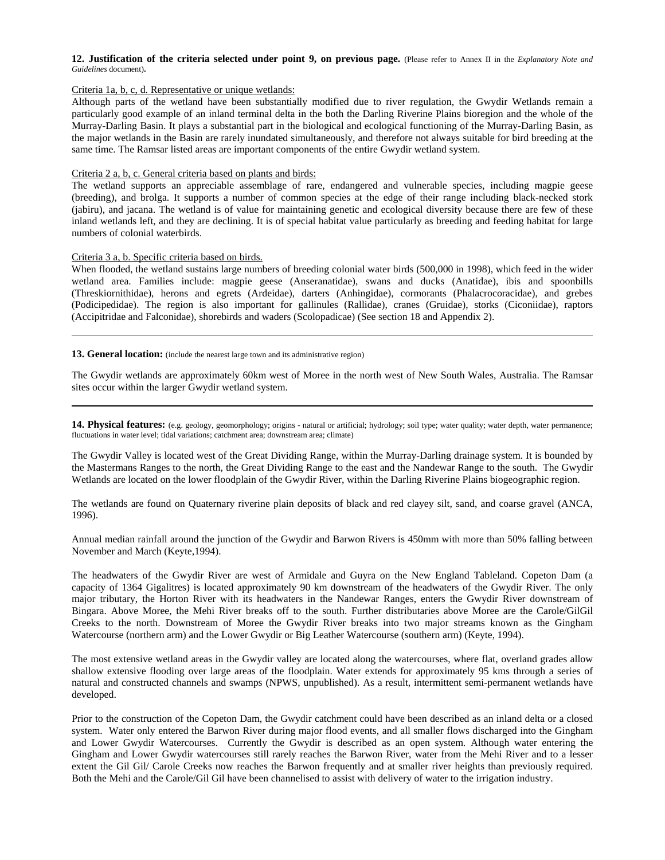#### **12. Justification of the criteria selected under point 9, on previous page.** (Please refer to Annex II in the *Explanatory Note and Guidelines* document)**.**

## Criteria 1a, b, c, d. Representative or unique wetlands:

Although parts of the wetland have been substantially modified due to river regulation, the Gwydir Wetlands remain a particularly good example of an inland terminal delta in the both the Darling Riverine Plains bioregion and the whole of the Murray-Darling Basin. It plays a substantial part in the biological and ecological functioning of the Murray-Darling Basin, as the major wetlands in the Basin are rarely inundated simultaneously, and therefore not always suitable for bird breeding at the same time. The Ramsar listed areas are important components of the entire Gwydir wetland system.

## Criteria 2 a, b, c. General criteria based on plants and birds:

The wetland supports an appreciable assemblage of rare, endangered and vulnerable species, including magpie geese (breeding), and brolga. It supports a number of common species at the edge of their range including black-necked stork (jabiru), and jacana. The wetland is of value for maintaining genetic and ecological diversity because there are few of these inland wetlands left, and they are declining. It is of special habitat value particularly as breeding and feeding habitat for large numbers of colonial waterbirds.

### Criteria 3 a, b. Specific criteria based on birds.

When flooded, the wetland sustains large numbers of breeding colonial water birds (500,000 in 1998), which feed in the wider wetland area. Families include: magpie geese (Anseranatidae), swans and ducks (Anatidae), ibis and spoonbills (Threskiornithidae), herons and egrets (Ardeidae), darters (Anhingidae), cormorants (Phalacrocoracidae), and grebes (Podicipedidae). The region is also important for gallinules (Rallidae), cranes (Gruidae), storks (Ciconiidae), raptors (Accipitridae and Falconidae), shorebirds and waders (Scolopadicae) (See section 18 and Appendix 2).

#### **13. General location:** (include the nearest large town and its administrative region)

The Gwydir wetlands are approximately 60km west of Moree in the north west of New South Wales, Australia. The Ramsar sites occur within the larger Gwydir wetland system.

14. Physical features: (e.g. geology, geomorphology; origins - natural or artificial; hydrology; soil type; water quality; water depth, water permanence; fluctuations in water level; tidal variations; catchment area; downstream area; climate)

The Gwydir Valley is located west of the Great Dividing Range, within the Murray-Darling drainage system. It is bounded by the Mastermans Ranges to the north, the Great Dividing Range to the east and the Nandewar Range to the south. The Gwydir Wetlands are located on the lower floodplain of the Gwydir River, within the Darling Riverine Plains biogeographic region.

The wetlands are found on Quaternary riverine plain deposits of black and red clayey silt, sand, and coarse gravel (ANCA, 1996).

Annual median rainfall around the junction of the Gwydir and Barwon Rivers is 450mm with more than 50% falling between November and March (Keyte,1994).

The headwaters of the Gwydir River are west of Armidale and Guyra on the New England Tableland. Copeton Dam (a capacity of 1364 Gigalitres) is located approximately 90 km downstream of the headwaters of the Gwydir River. The only major tributary, the Horton River with its headwaters in the Nandewar Ranges, enters the Gwydir River downstream of Bingara. Above Moree, the Mehi River breaks off to the south. Further distributaries above Moree are the Carole/GilGil Creeks to the north. Downstream of Moree the Gwydir River breaks into two major streams known as the Gingham Watercourse (northern arm) and the Lower Gwydir or Big Leather Watercourse (southern arm) (Keyte, 1994).

The most extensive wetland areas in the Gwydir valley are located along the watercourses, where flat, overland grades allow shallow extensive flooding over large areas of the floodplain. Water extends for approximately 95 kms through a series of natural and constructed channels and swamps (NPWS, unpublished). As a result, intermittent semi-permanent wetlands have developed.

Prior to the construction of the Copeton Dam, the Gwydir catchment could have been described as an inland delta or a closed system. Water only entered the Barwon River during major flood events, and all smaller flows discharged into the Gingham and Lower Gwydir Watercourses. Currently the Gwydir is described as an open system. Although water entering the Gingham and Lower Gwydir watercourses still rarely reaches the Barwon River, water from the Mehi River and to a lesser extent the Gil Gil/ Carole Creeks now reaches the Barwon frequently and at smaller river heights than previously required. Both the Mehi and the Carole/Gil Gil have been channelised to assist with delivery of water to the irrigation industry.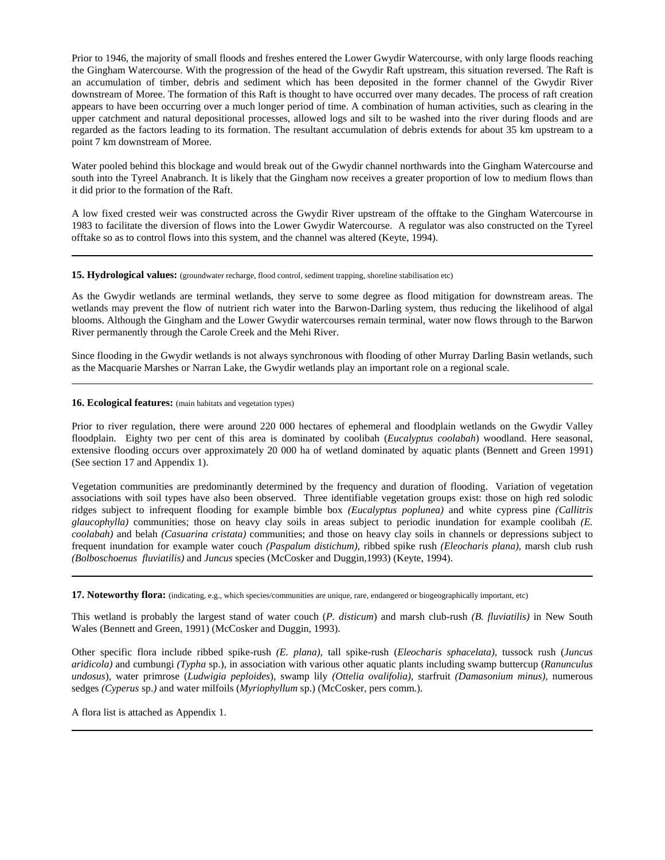Prior to 1946, the majority of small floods and freshes entered the Lower Gwydir Watercourse, with only large floods reaching the Gingham Watercourse. With the progression of the head of the Gwydir Raft upstream, this situation reversed. The Raft is an accumulation of timber, debris and sediment which has been deposited in the former channel of the Gwydir River downstream of Moree. The formation of this Raft is thought to have occurred over many decades. The process of raft creation appears to have been occurring over a much longer period of time. A combination of human activities, such as clearing in the upper catchment and natural depositional processes, allowed logs and silt to be washed into the river during floods and are regarded as the factors leading to its formation. The resultant accumulation of debris extends for about 35 km upstream to a point 7 km downstream of Moree.

Water pooled behind this blockage and would break out of the Gwydir channel northwards into the Gingham Watercourse and south into the Tyreel Anabranch. It is likely that the Gingham now receives a greater proportion of low to medium flows than it did prior to the formation of the Raft.

A low fixed crested weir was constructed across the Gwydir River upstream of the offtake to the Gingham Watercourse in 1983 to facilitate the diversion of flows into the Lower Gwydir Watercourse. A regulator was also constructed on the Tyreel offtake so as to control flows into this system, and the channel was altered (Keyte, 1994).

15. Hydrological values: (groundwater recharge, flood control, sediment trapping, shoreline stabilisation etc)

As the Gwydir wetlands are terminal wetlands, they serve to some degree as flood mitigation for downstream areas. The wetlands may prevent the flow of nutrient rich water into the Barwon-Darling system, thus reducing the likelihood of algal blooms. Although the Gingham and the Lower Gwydir watercourses remain terminal, water now flows through to the Barwon River permanently through the Carole Creek and the Mehi River.

Since flooding in the Gwydir wetlands is not always synchronous with flooding of other Murray Darling Basin wetlands, such as the Macquarie Marshes or Narran Lake, the Gwydir wetlands play an important role on a regional scale.

#### **16. Ecological features:** (main habitats and vegetation types)

Prior to river regulation, there were around 220 000 hectares of ephemeral and floodplain wetlands on the Gwydir Valley floodplain. Eighty two per cent of this area is dominated by coolibah (*Eucalyptus coolabah*) woodland. Here seasonal, extensive flooding occurs over approximately 20 000 ha of wetland dominated by aquatic plants (Bennett and Green 1991) (See section 17 and Appendix 1).

Vegetation communities are predominantly determined by the frequency and duration of flooding. Variation of vegetation associations with soil types have also been observed. Three identifiable vegetation groups exist: those on high red solodic ridges subject to infrequent flooding for example bimble box *(Eucalyptus poplunea)* and white cypress pine *(Callitris glaucophylla)* communities; those on heavy clay soils in areas subject to periodic inundation for example coolibah *(E. coolabah)* and belah *(Casuarina cristata)* communities; and those on heavy clay soils in channels or depressions subject to frequent inundation for example water couch *(Paspalum distichum)*, ribbed spike rush *(Eleocharis plana)*, marsh club rush *(Bolboschoenus fluviatilis)* and *Juncus* species (McCosker and Duggin,1993) (Keyte, 1994).

**17. Noteworthy flora:** (indicating, e.g., which species/communities are unique, rare, endangered or biogeographically important, etc)

This wetland is probably the largest stand of water couch (*P. disticum*) and marsh club-rush *(B. fluviatilis)* in New South Wales (Bennett and Green, 1991) (McCosker and Duggin, 1993).

Other specific flora include ribbed spike-rush *(E. plana)*, tall spike-rush (*Eleocharis sphacelata)*, tussock rush (*Juncus aridicola)* and cumbungi *(Typha* sp.), in association with various other aquatic plants including swamp buttercup (*Ranunculus undosus*), water primrose (*Ludwigia peploides*), swamp lily *(Ottelia ovalifolia)*, starfruit *(Damasonium minus),* numerous sedges *(Cyperus* sp.*)* and water milfoils (*Myriophyllum* sp.) (McCosker, pers comm.).

A flora list is attached as Appendix 1.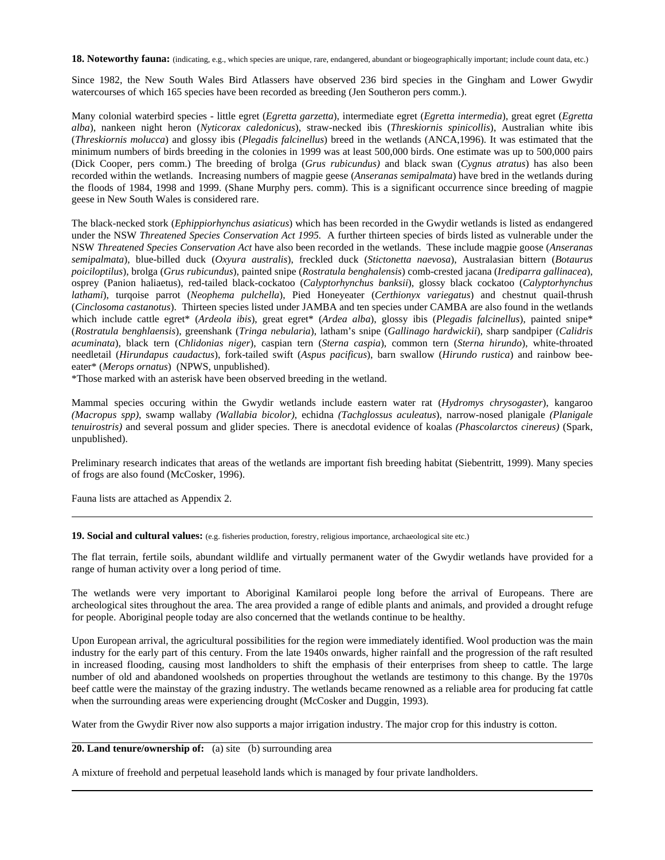**18. Noteworthy fauna:** (indicating, e.g., which species are unique, rare, endangered, abundant or biogeographically important; include count data, etc.)

Since 1982, the New South Wales Bird Atlassers have observed 236 bird species in the Gingham and Lower Gwydir watercourses of which 165 species have been recorded as breeding (Jen Southeron pers comm.).

Many colonial waterbird species - little egret (*Egretta garzetta*), intermediate egret (*Egretta intermedia*), great egret (*Egretta alba*), nankeen night heron (*Nyticorax caledonicus*), straw-necked ibis (*Threskiornis spinicollis*), Australian white ibis (*Threskiornis molucca*) and glossy ibis (*Plegadis falcinellus*) breed in the wetlands (ANCA,1996). It was estimated that the minimum numbers of birds breeding in the colonies in 1999 was at least 500,000 birds. One estimate was up to 500,000 pairs (Dick Cooper, pers comm.) The breeding of brolga (*Grus rubicundus)* and black swan (*Cygnus atratus*) has also been recorded within the wetlands. Increasing numbers of magpie geese (*Anseranas semipalmata*) have bred in the wetlands during the floods of 1984, 1998 and 1999. (Shane Murphy pers. comm). This is a significant occurrence since breeding of magpie geese in New South Wales is considered rare.

The black-necked stork (*Ephippiorhynchus asiaticus*) which has been recorded in the Gwydir wetlands is listed as endangered under the NSW *Threatened Species Conservation Act 1995.* A further thirteen species of birds listed as vulnerable under the NSW *Threatened Species Conservation Act* have also been recorded in the wetlands. These include magpie goose (*Anseranas semipalmata*), blue-billed duck (*Oxyura australis*), freckled duck (*Stictonetta naevosa*), Australasian bittern (*Botaurus poiciloptilus*), brolga (*Grus rubicundus*), painted snipe (*Rostratula benghalensis*) comb-crested jacana (*Irediparra gallinacea*), osprey (Panion haliaetus), red-tailed black-cockatoo (*Calyptorhynchus banksii*), glossy black cockatoo (*Calyptorhynchus lathami*), turqoise parrot (*Neophema pulchella*), Pied Honeyeater (*Certhionyx variegatus*) and chestnut quail-thrush (*Cinclosoma castanotus*). Thirteen species listed under JAMBA and ten species under CAMBA are also found in the wetlands which include cattle egret\* (*Ardeola ibis*), great egret\* (*Ardea alba*), glossy ibis (*Plegadis falcinellus*), painted snipe\* (*Rostratula benghlaensis*), greenshank (*Tringa nebularia*), latham's snipe (*Gallinago hardwickii*), sharp sandpiper (*Calidris acuminata*), black tern (*Chlidonias niger*), caspian tern (*Sterna caspia*), common tern (*Sterna hirundo*), white-throated needletail (*Hirundapus caudactus*), fork-tailed swift (*Aspus pacificus*), barn swallow (*Hirundo rustica*) and rainbow beeeater\* (*Merops ornatus*) (NPWS, unpublished).

\*Those marked with an asterisk have been observed breeding in the wetland.

Mammal species occuring within the Gwydir wetlands include eastern water rat (*Hydromys chrysogaster*), kangaroo *(Macropus spp)*, swamp wallaby *(Wallabia bicolor)*, echidna *(Tachglossus aculeatus*), narrow-nosed planigale *(Planigale tenuirostris)* and several possum and glider species. There is anecdotal evidence of koalas *(Phascolarctos cinereus)* (Spark, unpublished).

Preliminary research indicates that areas of the wetlands are important fish breeding habitat (Siebentritt, 1999). Many species of frogs are also found (McCosker, 1996).

Fauna lists are attached as Appendix 2.

**19. Social and cultural values:** (e.g. fisheries production, forestry, religious importance, archaeological site etc.)

The flat terrain, fertile soils, abundant wildlife and virtually permanent water of the Gwydir wetlands have provided for a range of human activity over a long period of time.

The wetlands were very important to Aboriginal Kamilaroi people long before the arrival of Europeans. There are archeological sites throughout the area. The area provided a range of edible plants and animals, and provided a drought refuge for people. Aboriginal people today are also concerned that the wetlands continue to be healthy.

Upon European arrival, the agricultural possibilities for the region were immediately identified. Wool production was the main industry for the early part of this century. From the late 1940s onwards, higher rainfall and the progression of the raft resulted in increased flooding, causing most landholders to shift the emphasis of their enterprises from sheep to cattle. The large number of old and abandoned woolsheds on properties throughout the wetlands are testimony to this change. By the 1970s beef cattle were the mainstay of the grazing industry. The wetlands became renowned as a reliable area for producing fat cattle when the surrounding areas were experiencing drought (McCosker and Duggin, 1993).

Water from the Gwydir River now also supports a major irrigation industry. The major crop for this industry is cotton.

**20. Land tenure/ownership of:** (a) site (b) surrounding area

A mixture of freehold and perpetual leasehold lands which is managed by four private landholders.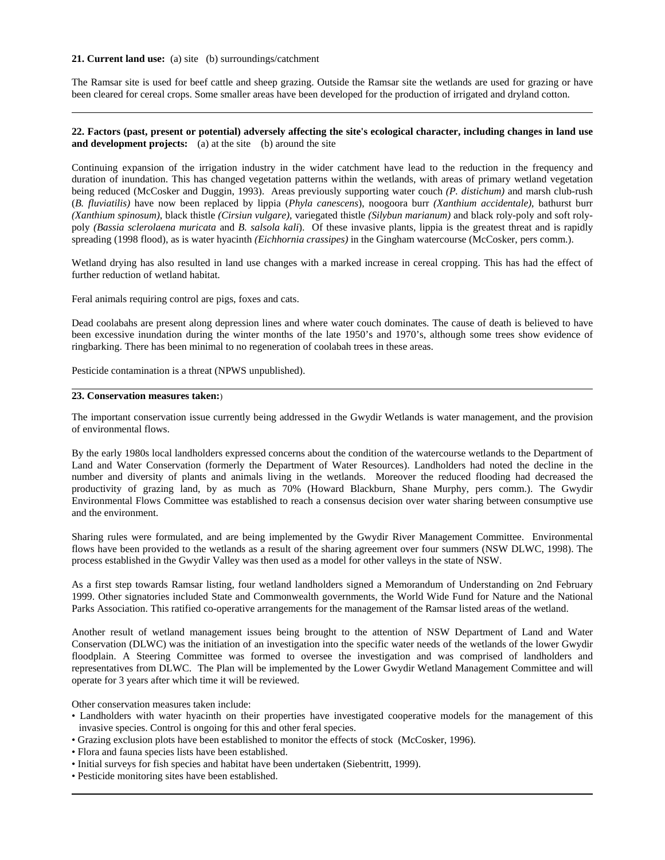#### **21. Current land use:** (a) site (b) surroundings/catchment

The Ramsar site is used for beef cattle and sheep grazing. Outside the Ramsar site the wetlands are used for grazing or have been cleared for cereal crops. Some smaller areas have been developed for the production of irrigated and dryland cotton.

#### **22. Factors (past, present or potential) adversely affecting the site's ecological character, including changes in land use and development projects:** (a) at the site (b) around the site

Continuing expansion of the irrigation industry in the wider catchment have lead to the reduction in the frequency and duration of inundation. This has changed vegetation patterns within the wetlands, with areas of primary wetland vegetation being reduced (McCosker and Duggin, 1993). Areas previously supporting water couch *(P. distichum)* and marsh club-rush (*B. fluviatilis)* have now been replaced by lippia (*Phyla canescens*), noogoora burr *(Xanthium accidentale)*, bathurst burr *(Xanthium spinosum)*, black thistle *(Cirsiun vulgare)*, variegated thistle *(Silybun marianum)* and black roly-poly and soft rolypoly *(Bassia sclerolaena muricata* and *B. salsola kali*). Of these invasive plants, lippia is the greatest threat and is rapidly spreading (1998 flood), as is water hyacinth *(Eichhornia crassipes)* in the Gingham watercourse (McCosker, pers comm.).

Wetland drying has also resulted in land use changes with a marked increase in cereal cropping. This has had the effect of further reduction of wetland habitat.

Feral animals requiring control are pigs, foxes and cats.

Dead coolabahs are present along depression lines and where water couch dominates. The cause of death is believed to have been excessive inundation during the winter months of the late 1950's and 1970's, although some trees show evidence of ringbarking. There has been minimal to no regeneration of coolabah trees in these areas.

Pesticide contamination is a threat (NPWS unpublished).

## **23. Conservation measures taken:**)

The important conservation issue currently being addressed in the Gwydir Wetlands is water management, and the provision of environmental flows.

By the early 1980s local landholders expressed concerns about the condition of the watercourse wetlands to the Department of Land and Water Conservation (formerly the Department of Water Resources). Landholders had noted the decline in the number and diversity of plants and animals living in the wetlands. Moreover the reduced flooding had decreased the productivity of grazing land, by as much as 70% (Howard Blackburn, Shane Murphy, pers comm.). The Gwydir Environmental Flows Committee was established to reach a consensus decision over water sharing between consumptive use and the environment.

Sharing rules were formulated, and are being implemented by the Gwydir River Management Committee. Environmental flows have been provided to the wetlands as a result of the sharing agreement over four summers (NSW DLWC, 1998). The process established in the Gwydir Valley was then used as a model for other valleys in the state of NSW.

As a first step towards Ramsar listing, four wetland landholders signed a Memorandum of Understanding on 2nd February 1999. Other signatories included State and Commonwealth governments, the World Wide Fund for Nature and the National Parks Association. This ratified co-operative arrangements for the management of the Ramsar listed areas of the wetland.

Another result of wetland management issues being brought to the attention of NSW Department of Land and Water Conservation (DLWC) was the initiation of an investigation into the specific water needs of the wetlands of the lower Gwydir floodplain. A Steering Committee was formed to oversee the investigation and was comprised of landholders and representatives from DLWC. The Plan will be implemented by the Lower Gwydir Wetland Management Committee and will operate for 3 years after which time it will be reviewed.

Other conservation measures taken include:

- Landholders with water hyacinth on their properties have investigated cooperative models for the management of this invasive species. Control is ongoing for this and other feral species.
- Grazing exclusion plots have been established to monitor the effects of stock (McCosker, 1996).
- Flora and fauna species lists have been established.
- Initial surveys for fish species and habitat have been undertaken (Siebentritt, 1999).
- Pesticide monitoring sites have been established.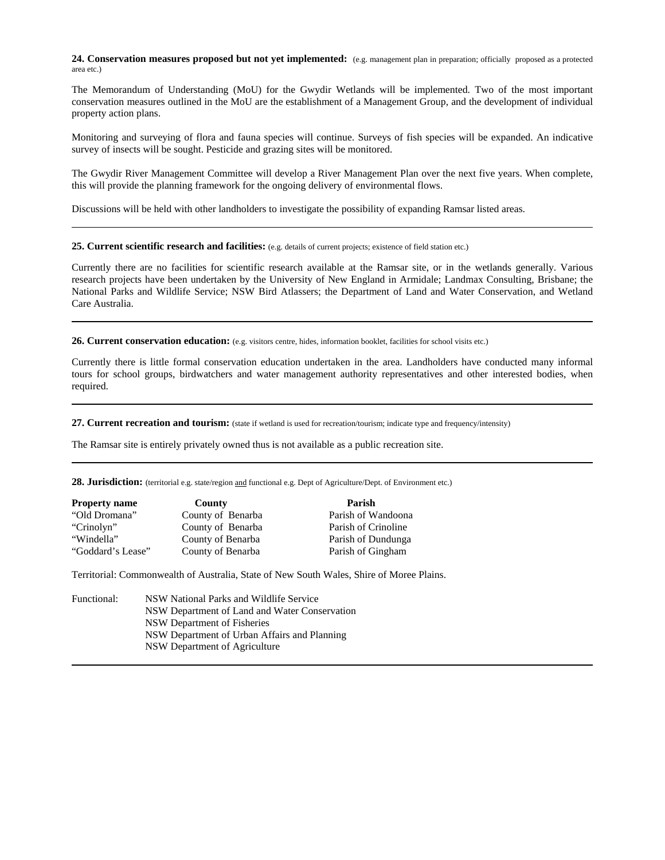**24. Conservation measures proposed but not yet implemented:** (e.g. management plan in preparation; officially proposed as a protected area etc.)

The Memorandum of Understanding (MoU) for the Gwydir Wetlands will be implemented. Two of the most important conservation measures outlined in the MoU are the establishment of a Management Group, and the development of individual property action plans.

Monitoring and surveying of flora and fauna species will continue. Surveys of fish species will be expanded. An indicative survey of insects will be sought. Pesticide and grazing sites will be monitored.

The Gwydir River Management Committee will develop a River Management Plan over the next five years. When complete, this will provide the planning framework for the ongoing delivery of environmental flows.

Discussions will be held with other landholders to investigate the possibility of expanding Ramsar listed areas.

**25. Current scientific research and facilities:** (e.g. details of current projects; existence of field station etc.)

Currently there are no facilities for scientific research available at the Ramsar site, or in the wetlands generally. Various research projects have been undertaken by the University of New England in Armidale; Landmax Consulting, Brisbane; the National Parks and Wildlife Service; NSW Bird Atlassers; the Department of Land and Water Conservation, and Wetland Care Australia.

26. Current conservation education: (e.g. visitors centre, hides, information booklet, facilities for school visits etc.)

Currently there is little formal conservation education undertaken in the area. Landholders have conducted many informal tours for school groups, birdwatchers and water management authority representatives and other interested bodies, when required.

27. Current recreation and tourism: (state if wetland is used for recreation/tourism; indicate type and frequency/intensity)

The Ramsar site is entirely privately owned thus is not available as a public recreation site.

28. Jurisdiction: (territorial e.g. state/region and functional e.g. Dept of Agriculture/Dept. of Environment etc.)

| <b>Property name</b> | County            | Parish              |
|----------------------|-------------------|---------------------|
| "Old Dromana"        | County of Benarba | Parish of Wandoona  |
| "Crinolyn"           | County of Benarba | Parish of Crinoline |
| "Windella"           | County of Benarba | Parish of Dundunga  |
| "Goddard's Lease"    | County of Benarba | Parish of Gingham   |

Territorial: Commonwealth of Australia, State of New South Wales, Shire of Moree Plains.

| Functional: | NSW National Parks and Wildlife Service       |
|-------------|-----------------------------------------------|
|             | NSW Department of Land and Water Conservation |
|             | NSW Department of Fisheries                   |
|             | NSW Department of Urban Affairs and Planning  |
|             | NSW Department of Agriculture                 |
|             |                                               |